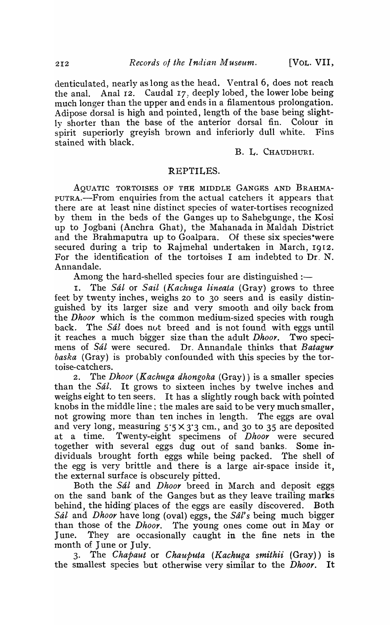denticulated, nearly as long as the head. Ventral 6, does not reach the anal. Anal I2. Caudal I7) deeply lobed, the lower lobe being much longer than the upper and ends in a filamentous prolongation. Adipose dorsal is high and pointed, length of the base being slightly shorter than the base of the anterior dorsal fin. Colour in spirit superiorly greyish brown and inferiorly dull white. Fins stained with black.

B. L. CHAUDHURI.

## REPTILES.

AQUATIC TORTOISES OF THE MIDDLE GANGES AND BRAHMA-PUTRA.-From enquiries from the actual catchers it appears that there are at least nine distinct species of water-tortises recognized by them in the beds of the Ganges up to Sahebgunge, the Kosi up to Jogbani (Anchra Ghat), the Mahanada in Maldah District and the Brahmaputra up to Goalpara. Of these six species 'were secured during a trip to Rajmehal undertaken in March, 1912. For the identification of the tortoises I am indebted to Dr, N. Annandale.

Among the hard-shelled species four are distinguished :-

I. The Sal or *Sail (Kachuga lineata* (Gray) grows to three feet by twenty inches, weighs 20 to 30. seers and is easily distinguished by its larger size and very smooth and oily back from the *Dhoor* which is the common medium-sized species with rough back. The Sál does not breed and is not found with eggs until it reaches a much bigger size than the adult *Dhoor.* Two specimens of \$al were secured. Dr. Annandale thinks that *Batagur baska* (Gray) is probably confounded with this species by the tortoise-catchers.

2. The *Dhoor (Kachuga dhongoka* (Gray)) is a smaller species than the Sál. It grows to sixteen inches by twelve inches and weighs eight to ten seers. It has a slightly rough back with pointed knobs in the middle line; the males are said to be very much smaller, not growing more than ten inches in length. The eggs are oval and very long, measuring  $5.5 \times 3.3$  cm., and 30 to 35 are deposited at a time. Twenty-eight specimens of *Dhoor* were secured together with several eggs dug out of sand banks. Some individuals brought forth eggs while being packed. The shell of the egg is very brittle and there is a large air-space inside it, the external surface is obscurely pitted.

Both the *Sál* and *Dhoor* breed in March and deposit eggs on the sand bank of the Ganges but as they leave trailing marks behind, the hiding' places of the eggs are easily discovered. Both Sal and *Dhoor* have long (oval) eggs, the *Sdl's* being much bigger than those of the *Dhoor.* The young ones come out in Mayor June. They are occasionally caught in the fine nets in the month of June or July.

3. The *Chapaut* or *Chauputa* (Kachuga smithii (Gray)) is the smallest species but otherwise very similar to the *Dhoor*. It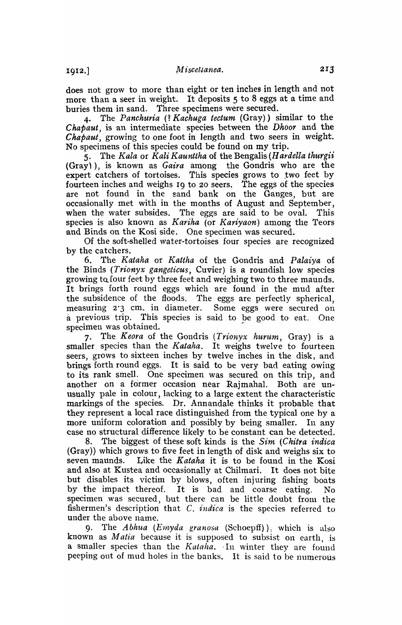does not grow to more than eight or ten inches in length and not more than a seer in weight. It deposits 5 to 8 eggs at a time and buries them in sand. Three specimens were secured.

4. The *Panchuria* (? *Kachuga tectum* (Gray)) similar to the Chapaut, is an intermediate species between the *Dhoor* and the *Chapaut*, growing to one foot in length and two seers in weight. No specimens of this species could be found on my trip.

5. The *Kala* or *Kali Kaunttha* of the Bengalis *(H ardella thurgii*  (Gray)), is known as *Gaira* among the Gondris who are the expert catchers of tortoises. This species grows to two feet by fourteen inches and weighs 19 to 20 seers. The eggs of the species are not found in the sand bank on the Ganges, but are occasionally met with in the months of August and September, when the water subsides. The eggs are said to be oval. This species is also kno\vn as *Kariha* (or *Kariyaon)* among the Teors and Binds on the Kosi side. One specimen was secured.

Of the soft-shelled water-tortoises four species are recognized by the catchers.

6. The *Kataha* or *Kattha* of the Gondris and *Palaiya* of the Binds *(Trionyx gangeticus, Cuvier)* is a roundish low species growing to four feet by three feet and weighing two to three maunds. It brings forth round eggs which are found in the mud after the subsidence of the floods. The eggs are perfectly spherical, measuring 2'3 cm. in diameter. Some eggs. were secured on a previous trip. This species is said to be good to eat. One specimen was obtained.

7. The *Keora* of the Gondris *(Trionyx hurum,* Gray) is a smaller species than the *Kataha.* It weighs twelve to fourteen seers, grows to sixteen inches by twelve inches in the disk, and brings forth round eggs. It is said to be very bad eating owing to its rank smell. One specimen was secured on this trip, and another on a former occasion near Rajmaha1. Both are unusually pale in colour, lacking to a large extent the characteristic markings of the species. Dr. Annandale thinks it probable that they represent a local race distinguished from the typical one by a more uniform coloration and possibly by being smaller. In any case no structural difference likely to be constant can be detected.

8. The biggest of these soft kinds is the *Sim (Chitra indica*  (Gray)) which grows to five feet in length of disk and weighs six to seven maunds. Like the *K ataha* it is to be found in the Kosi and also at Kustea and occasionally at Chilmari. It does not bite but disables its victim by blows, often injuring fishing boats by the impact thereof. It is bad and coarse eating. No specimen was secured, but there can be little doubt from the fishermen's description that C. *indica* is the species referred to under the above name.

9. The *Abhua (Emyda granosa (Schoepff)*), which is also known as *Matia* because it is supposed to subsist on earth is a smaller species than the *Kataha*. In winter they are found peeping out of mud holes in the banks. It is said to be numerous